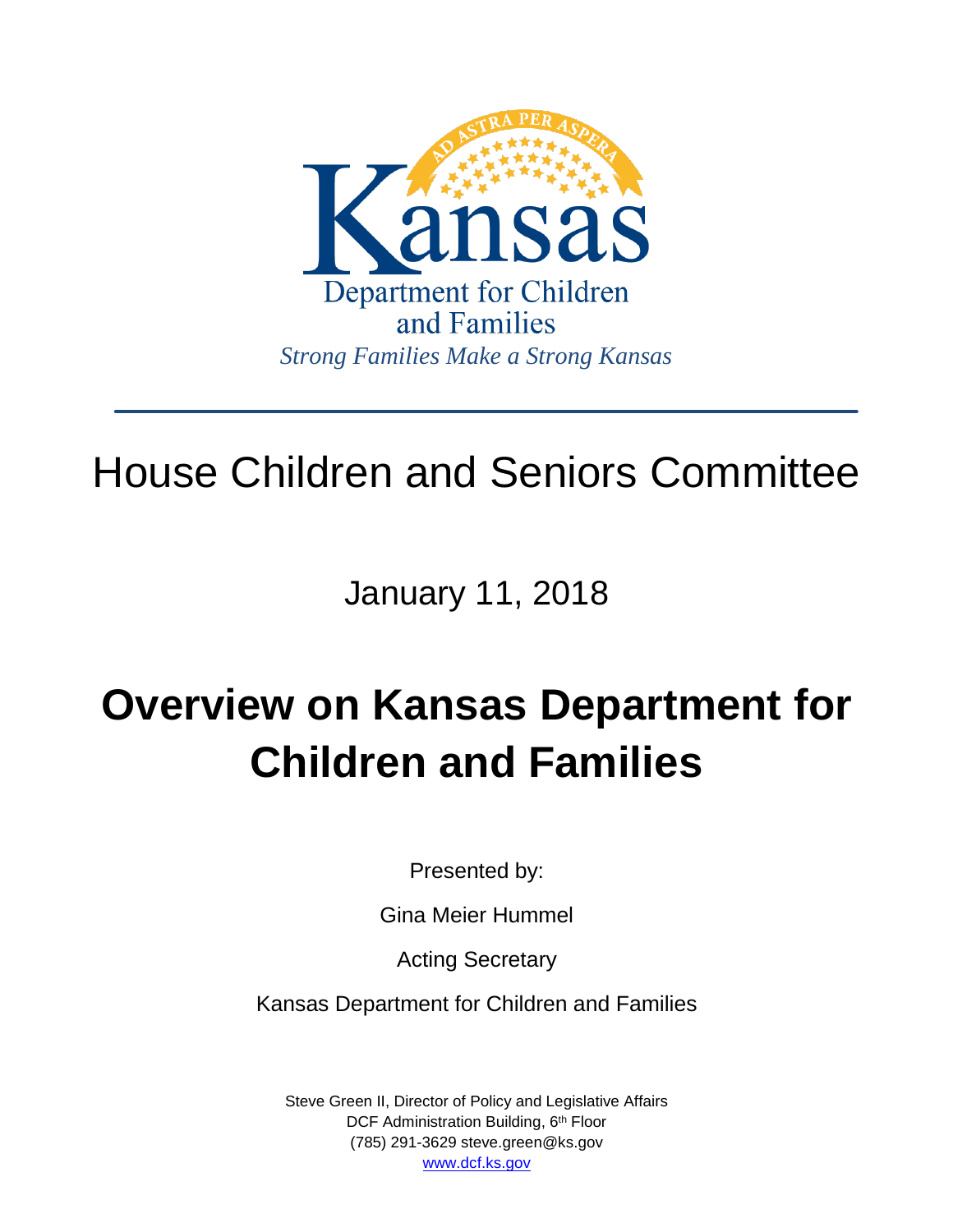

# House Children and Seniors Committee

January 11, 2018

# **Overview on Kansas Department for Children and Families**

Presented by:

Gina Meier Hummel

Acting Secretary

Kansas Department for Children and Families

Steve Green II, Director of Policy and Legislative Affairs DCF Administration Building, 6<sup>th</sup> Floor (785) 291-3629 steve.green@ks.gov [www.dcf.ks.gov](http://www.dcf.ks.gov/)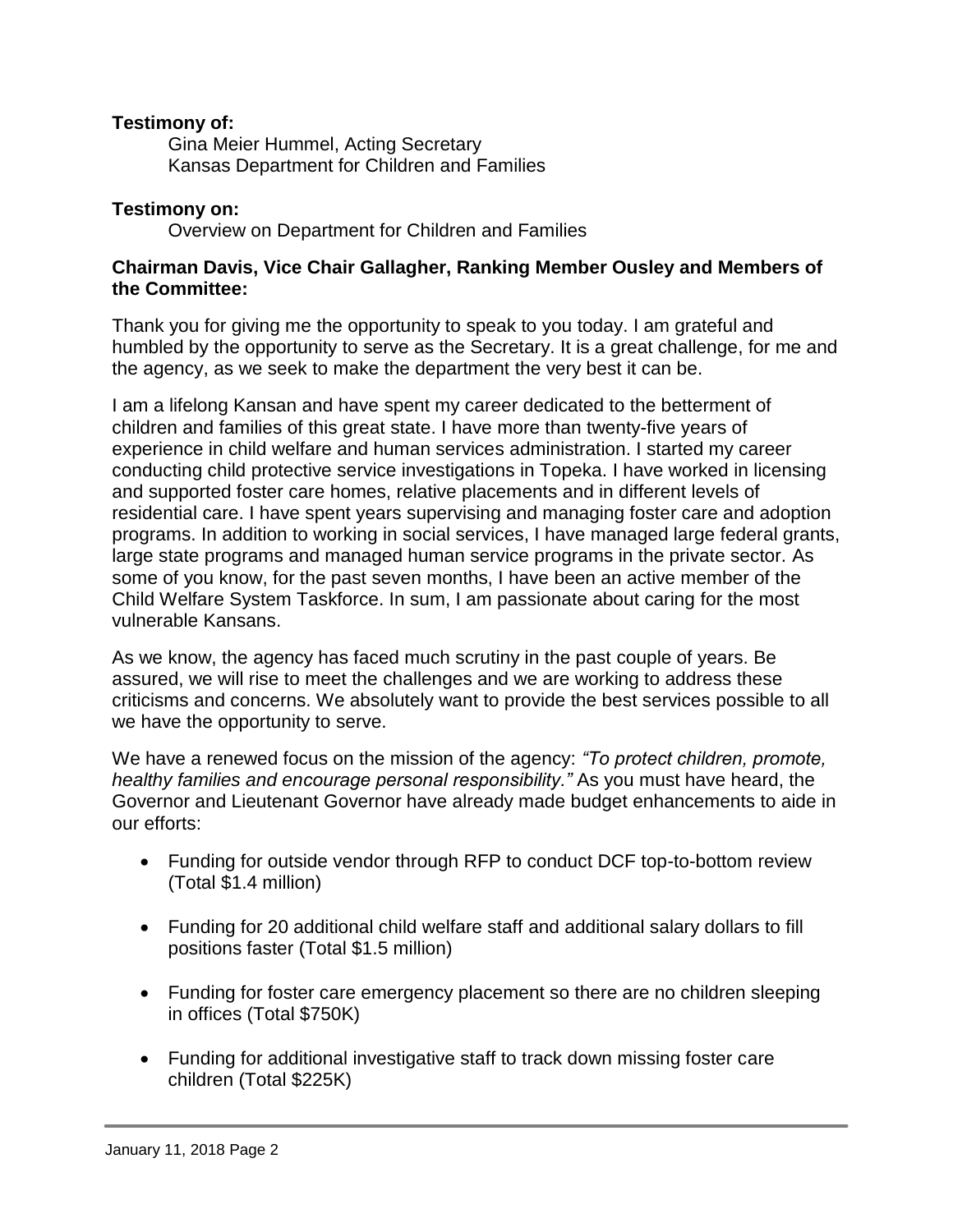## **Testimony of:**

Gina Meier Hummel, Acting Secretary Kansas Department for Children and Families

## **Testimony on:**

Overview on Department for Children and Families

### **Chairman Davis, Vice Chair Gallagher, Ranking Member Ousley and Members of the Committee:**

Thank you for giving me the opportunity to speak to you today. I am grateful and humbled by the opportunity to serve as the Secretary. It is a great challenge, for me and the agency, as we seek to make the department the very best it can be.

I am a lifelong Kansan and have spent my career dedicated to the betterment of children and families of this great state. I have more than twenty-five years of experience in child welfare and human services administration. I started my career conducting child protective service investigations in Topeka. I have worked in licensing and supported foster care homes, relative placements and in different levels of residential care. I have spent years supervising and managing foster care and adoption programs. In addition to working in social services, I have managed large federal grants, large state programs and managed human service programs in the private sector. As some of you know, for the past seven months, I have been an active member of the Child Welfare System Taskforce. In sum, I am passionate about caring for the most vulnerable Kansans.

As we know, the agency has faced much scrutiny in the past couple of years. Be assured, we will rise to meet the challenges and we are working to address these criticisms and concerns. We absolutely want to provide the best services possible to all we have the opportunity to serve.

We have a renewed focus on the mission of the agency: *"To protect children, promote, healthy families and encourage personal responsibility."* As you must have heard, the Governor and Lieutenant Governor have already made budget enhancements to aide in our efforts:

- Funding for outside vendor through RFP to conduct DCF top-to-bottom review (Total \$1.4 million)
- Funding for 20 additional child welfare staff and additional salary dollars to fill positions faster (Total \$1.5 million)
- Funding for foster care emergency placement so there are no children sleeping in offices (Total \$750K)
- Funding for additional investigative staff to track down missing foster care children (Total \$225K)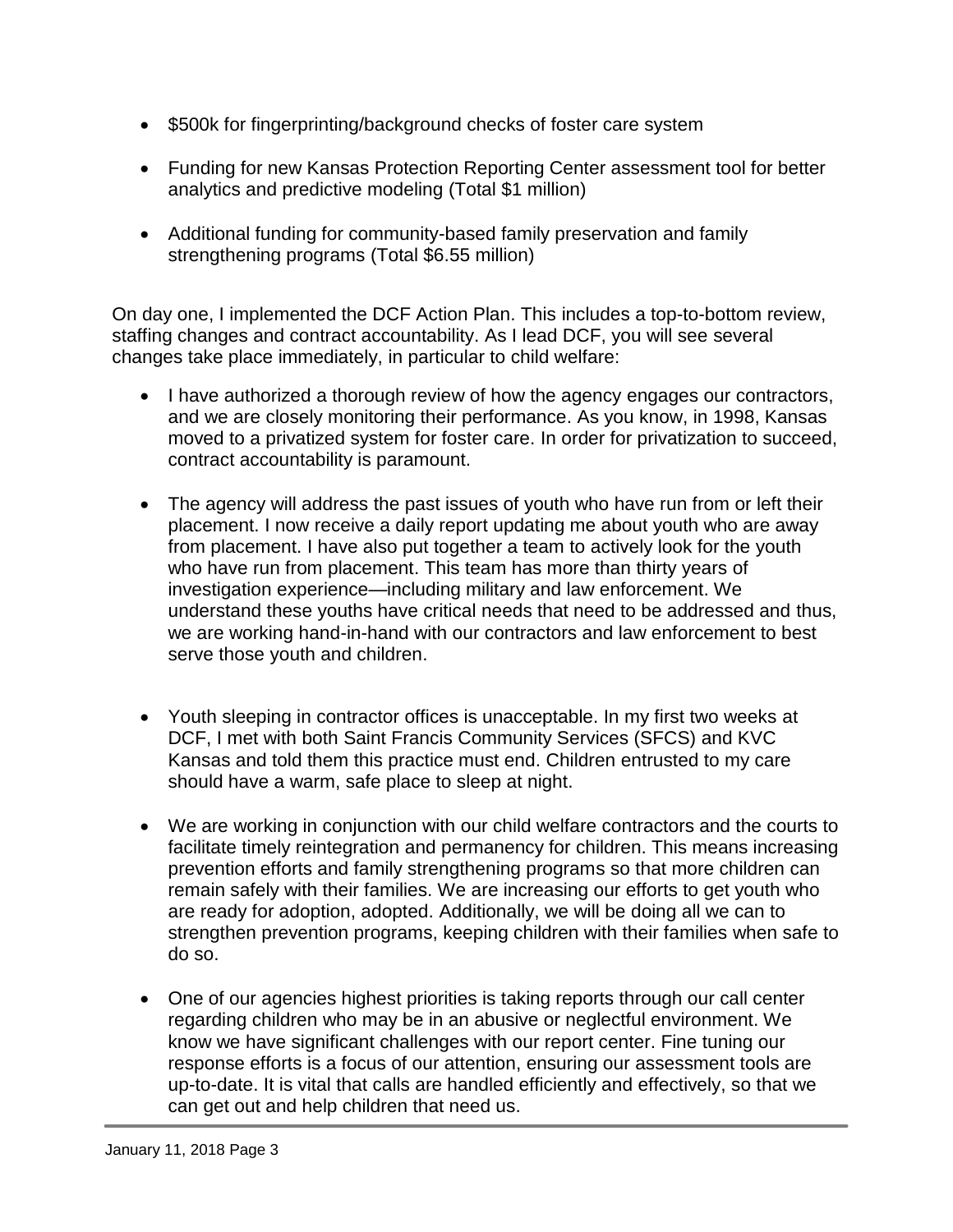- \$500k for fingerprinting/background checks of foster care system
- Funding for new Kansas Protection Reporting Center assessment tool for better analytics and predictive modeling (Total \$1 million)
- Additional funding for community-based family preservation and family strengthening programs (Total \$6.55 million)

On day one, I implemented the DCF Action Plan. This includes a top-to-bottom review, staffing changes and contract accountability. As I lead DCF, you will see several changes take place immediately, in particular to child welfare:

- I have authorized a thorough review of how the agency engages our contractors, and we are closely monitoring their performance. As you know, in 1998, Kansas moved to a privatized system for foster care. In order for privatization to succeed, contract accountability is paramount.
- The agency will address the past issues of youth who have run from or left their placement. I now receive a daily report updating me about youth who are away from placement. I have also put together a team to actively look for the youth who have run from placement. This team has more than thirty years of investigation experience—including military and law enforcement. We understand these youths have critical needs that need to be addressed and thus, we are working hand-in-hand with our contractors and law enforcement to best serve those youth and children.
- Youth sleeping in contractor offices is unacceptable. In my first two weeks at DCF, I met with both Saint Francis Community Services (SFCS) and KVC Kansas and told them this practice must end. Children entrusted to my care should have a warm, safe place to sleep at night.
- We are working in conjunction with our child welfare contractors and the courts to facilitate timely reintegration and permanency for children. This means increasing prevention efforts and family strengthening programs so that more children can remain safely with their families. We are increasing our efforts to get youth who are ready for adoption, adopted. Additionally, we will be doing all we can to strengthen prevention programs, keeping children with their families when safe to do so.
- One of our agencies highest priorities is taking reports through our call center regarding children who may be in an abusive or neglectful environment. We know we have significant challenges with our report center. Fine tuning our response efforts is a focus of our attention, ensuring our assessment tools are up-to-date. It is vital that calls are handled efficiently and effectively, so that we can get out and help children that need us.